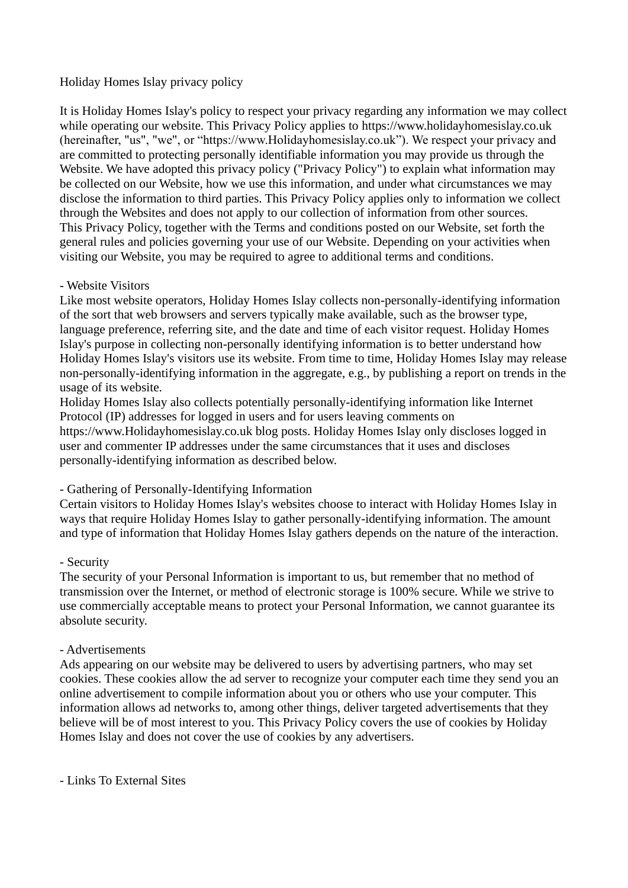# Holiday Homes Islay privacy policy

It is Holiday Homes Islay's policy to respect your privacy regarding any information we may collect while operating our website. This Privacy Policy applies to https://www.holidayhomesislay.co.uk (hereinafter, "us", "we", or "https://www.Holidayhomesislay.co.uk"). We respect your privacy and are committed to protecting personally identifiable information you may provide us through the Website. We have adopted this privacy policy ("Privacy Policy") to explain what information may be collected on our Website, how we use this information, and under what circumstances we may disclose the information to third parties. This Privacy Policy applies only to information we collect through the Websites and does not apply to our collection of information from other sources. This Privacy Policy, together with the Terms and conditions posted on our Website, set forth the general rules and policies governing your use of our Website. Depending on your activities when visiting our Website, you may be required to agree to additional terms and conditions.

#### - Website Visitors

Like most website operators, Holiday Homes Islay collects non-personally-identifying information of the sort that web browsers and servers typically make available, such as the browser type, language preference, referring site, and the date and time of each visitor request. Holiday Homes Islay's purpose in collecting non-personally identifying information is to better understand how Holiday Homes Islay's visitors use its website. From time to time, Holiday Homes Islay may release non-personally-identifying information in the aggregate, e.g., by publishing a report on trends in the usage of its website.

Holiday Homes Islay also collects potentially personally-identifying information like Internet Protocol (IP) addresses for logged in users and for users leaving comments on https://www.Holidayhomesislay.co.uk blog posts. Holiday Homes Islay only discloses logged in user and commenter IP addresses under the same circumstances that it uses and discloses personally-identifying information as described below.

# - Gathering of Personally-Identifying Information

Certain visitors to Holiday Homes Islay's websites choose to interact with Holiday Homes Islay in ways that require Holiday Homes Islay to gather personally-identifying information. The amount and type of information that Holiday Homes Islay gathers depends on the nature of the interaction.

#### - Security

The security of your Personal Information is important to us, but remember that no method of transmission over the Internet, or method of electronic storage is 100% secure. While we strive to use commercially acceptable means to protect your Personal Information, we cannot guarantee its absolute security.

#### - Advertisements

Ads appearing on our website may be delivered to users by advertising partners, who may set cookies. These cookies allow the ad server to recognize your computer each time they send you an online advertisement to compile information about you or others who use your computer. This information allows ad networks to, among other things, deliver targeted advertisements that they believe will be of most interest to you. This Privacy Policy covers the use of cookies by Holiday Homes Islay and does not cover the use of cookies by any advertisers.

- Links To External Sites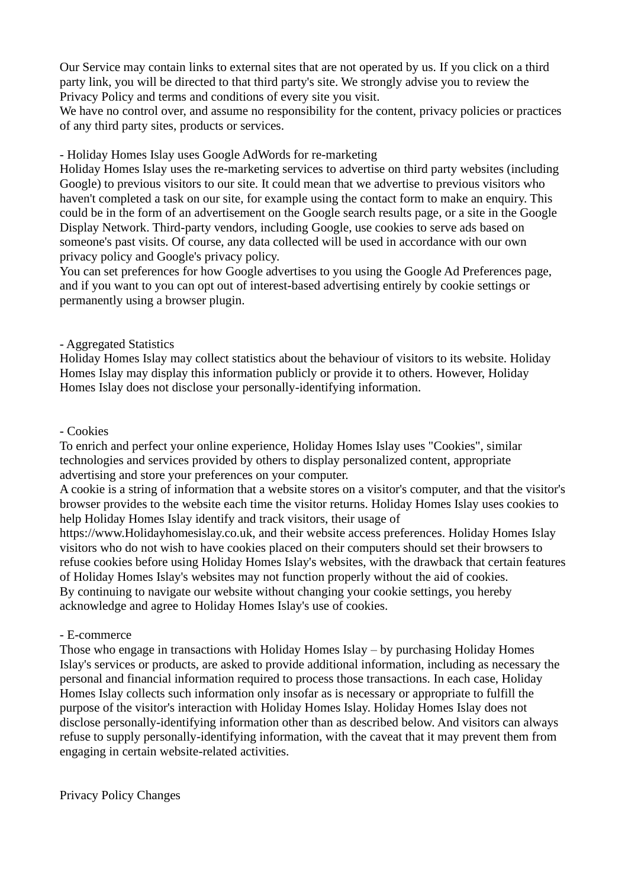Our Service may contain links to external sites that are not operated by us. If you click on a third party link, you will be directed to that third party's site. We strongly advise you to review the Privacy Policy and terms and conditions of every site you visit.

We have no control over, and assume no responsibility for the content, privacy policies or practices of any third party sites, products or services.

- Holiday Homes Islay uses Google AdWords for re-marketing

Holiday Homes Islay uses the re-marketing services to advertise on third party websites (including Google) to previous visitors to our site. It could mean that we advertise to previous visitors who haven't completed a task on our site, for example using the contact form to make an enquiry. This could be in the form of an advertisement on the Google search results page, or a site in the Google Display Network. Third-party vendors, including Google, use cookies to serve ads based on someone's past visits. Of course, any data collected will be used in accordance with our own privacy policy and Google's privacy policy.

You can set preferences for how Google advertises to you using the Google Ad Preferences page, and if you want to you can opt out of interest-based advertising entirely by cookie settings or permanently using a browser plugin.

### - Aggregated Statistics

Holiday Homes Islay may collect statistics about the behaviour of visitors to its website. Holiday Homes Islay may display this information publicly or provide it to others. However, Holiday Homes Islay does not disclose your personally-identifying information.

#### - Cookies

To enrich and perfect your online experience, Holiday Homes Islay uses "Cookies", similar technologies and services provided by others to display personalized content, appropriate advertising and store your preferences on your computer.

A cookie is a string of information that a website stores on a visitor's computer, and that the visitor's browser provides to the website each time the visitor returns. Holiday Homes Islay uses cookies to help Holiday Homes Islay identify and track visitors, their usage of

https://www.Holidayhomesislay.co.uk, and their website access preferences. Holiday Homes Islay visitors who do not wish to have cookies placed on their computers should set their browsers to refuse cookies before using Holiday Homes Islay's websites, with the drawback that certain features of Holiday Homes Islay's websites may not function properly without the aid of cookies. By continuing to navigate our website without changing your cookie settings, you hereby acknowledge and agree to Holiday Homes Islay's use of cookies.

# - E-commerce

Those who engage in transactions with Holiday Homes Islay – by purchasing Holiday Homes Islay's services or products, are asked to provide additional information, including as necessary the personal and financial information required to process those transactions. In each case, Holiday Homes Islay collects such information only insofar as is necessary or appropriate to fulfill the purpose of the visitor's interaction with Holiday Homes Islay. Holiday Homes Islay does not disclose personally-identifying information other than as described below. And visitors can always refuse to supply personally-identifying information, with the caveat that it may prevent them from engaging in certain website-related activities.

Privacy Policy Changes